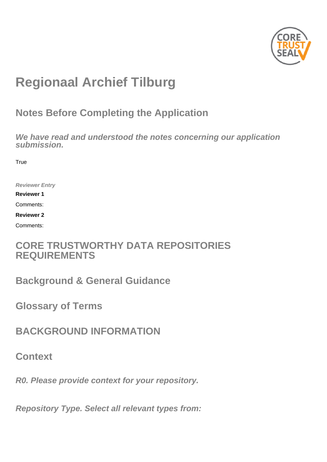

# **Regionaal Archief Tilburg**

## **Notes Before Completing the Application**

**We have read and understood the notes concerning our application submission.**

**True** 

**Reviewer Entry**

**Reviewer 1**

Comments:

**Reviewer 2**

Comments:

## **CORE TRUSTWORTHY DATA REPOSITORIES REQUIREMENTS**

**Background & General Guidance**

**Glossary of Terms**

**BACKGROUND INFORMATION**

**Context**

**R0. Please provide context for your repository.**

**Repository Type. Select all relevant types from:**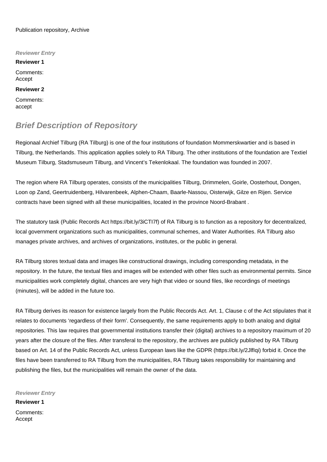#### Publication repository, Archive

**Reviewer Entry Reviewer 1** Comments: Accept **Reviewer 2** Comments: accept

### **Brief Description of Repository**

Regionaal Archief Tilburg (RA Tilburg) is one of the four institutions of foundation Mommerskwartier and is based in Tilburg, the Netherlands. This application applies solely to RA Tilburg. The other institutions of the foundation are Textiel Museum Tilburg, Stadsmuseum Tilburg, and Vincent's Tekenlokaal. The foundation was founded in 2007.

The region where RA Tilburg operates, consists of the municipalities Tilburg, Drimmelen, Goirle, Oosterhout, Dongen, Loon op Zand, Geertruidenberg, Hilvarenbeek, Alphen-Chaam, Baarle-Nassou, Oisterwijk, Gilze en Rijen. Service contracts have been signed with all these municipalities, located in the province Noord-Brabant .

The statutory task (Public Records Act [https://bit.ly/3iCTI7f\)](https://bit.ly/3iCTI7f) of RA Tilburg is to function as a repository for decentralized, local government organizations such as municipalities, communal schemes, and Water Authorities. RA Tilburg also manages private archives, and archives of organizations, institutes, or the public in general.

RA Tilburg stores textual data and images like constructional drawings, including corresponding metadata, in the repository. In the future, the textual files and images will be extended with other files such as environmental permits. Since municipalities work completely digital, chances are very high that video or sound files, like recordings of meetings (minutes), will be added in the future too.

RA Tilburg derives its reason for existence largely from the Public Records Act. Art. 1, Clause c of the Act stipulates that it relates to documents 'regardless of their form'. Consequently, the same requirements apply to both analog and digital repositories. This law requires that governmental institutions transfer their (digital) archives to a repository maximum of 20 years after the closure of the files. After transferal to the repository, the archives are publicly published by RA Tilburg based on Art. 14 of the Public Records Act, unless European laws like the GDPR [\(https://bit.ly/2JlfIqi\)](https://bit.ly/2JlfIqi) forbid it. Once the files have been transferred to RA Tilburg from the municipalities, RA Tilburg takes responsibility for maintaining and publishing the files, but the municipalities will remain the owner of the data.

**Reviewer Entry**

**Reviewer 1** Comments: Accept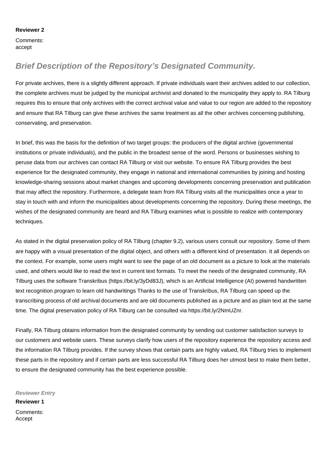#### **Reviewer 2**

Comments: accept

## **Brief Description of the Repository's Designated Community.**

For private archives, there is a slightly different approach. If private individuals want their archives added to our collection, the complete archives must be judged by the municipal archivist and donated to the municipality they apply to. RA Tilburg requires this to ensure that only archives with the correct archival value and value to our region are added to the repository and ensure that RA Tilburg can give these archives the same treatment as all the other archives concerning publishing, conservating, and preservation.

In brief, this was the basis for the definition of two target groups: the producers of the digital archive (governmental institutions or private individuals), and the public in the broadest sense of the word. Persons or businesses wishing to peruse data from our archives can contact RA Tilburg or visit our website. To ensure RA Tilburg provides the best experience for the designated community, they engage in national and international communities by joining and hosting knowledge-sharing sessions about market changes and upcoming developments concerning preservation and publication that may affect the repository. Furthermore, a delegate team from RA Tilburg visits all the municipalities once a year to stay in touch with and inform the municipalities about developments concerning the repository. During these meetings, the wishes of the designated community are heard and RA Tilburg examines what is possible to realize with contemporary techniques.

As stated in the digital preservation policy of RA Tilburg (chapter 9.2), various users consult our repository. Some of them are happy with a visual presentation of the digital object, and others with a different kind of presentation. It all depends on the context. For example, some users might want to see the page of an old document as a picture to look at the materials used, and others would like to read the text in current text formats. To meet the needs of the designated community, RA Tilburg uses the software Transkribus [\(https://bit.ly/3yDd83J\)](https://bit.ly/3yDd83J), which is an Artificial Intelligence (AI) powered handwritten text recognition program to learn old handwritings Thanks to the use of Transkribus, RA Tilburg can speed up the transcribing process of old archival documents and are old documents published as a picture and as plain text at the same time. The digital preservation policy of RA Tilburg can be consulted via <https://bit.ly/2NmUZnr.>

Finally, RA Tilburg obtains information from the designated community by sending out customer satisfaction surveys to our customers and website users. These surveys clarify how users of the repository experience the repository access and the information RA Tilburg provides. If the survey shows that certain parts are highly valued, RA Tilburg tries to implement these parts in the repository and if certain parts are less successful RA Tilburg does her utmost best to make them better, to ensure the designated community has the best experience possible.

**Reviewer Entry**

**Reviewer 1** Comments: Accept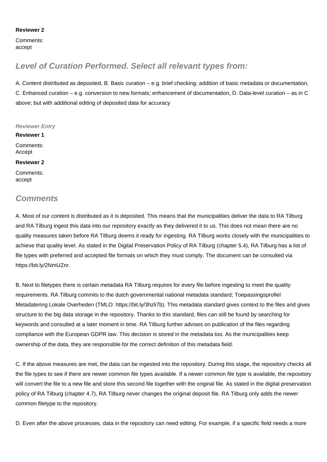#### **Reviewer 2**

Comments: accept

## **Level of Curation Performed. Select all relevant types from:**

A. Content distributed as deposited, B. Basic curation – e.g. brief checking; addition of basic metadata or documentation, C. Enhanced curation – e.g. conversion to new formats; enhancement of documentation, D. Data-level curation – as in C above; but with additional editing of deposited data for accuracy

**Reviewer Entry Reviewer 1** Comments: Accept **Reviewer 2** Comments: accept

## **Comments**

A. Most of our content is distributed as it is deposited. This means that the municipalities deliver the data to RA Tilburg and RA Tilburg ingest this data into our repository exactly as they delivered it to us. This does not mean there are no quality measures taken before RA Tilburg deems it ready for ingesting. RA Tilburg works closely with the municipalities to achieve that quality level. As stated in the Digital Preservation Policy of RA Tilburg (chapter 5.4), RA Tilburg has a list of file types with preferred and accepted file formats on which they must comply. The document can be consulted via <https://bit.ly/2NmUZnr.>

B. Next to filetypes there is certain metadata RA Tilburg requires for every file before ingesting to meet the quality requirements. RA Tilburg commits to the dutch governmental national metadata standard; Toepassingsprofiel Metadatering Lokale Overheden (TMLO: [https://bit.ly/3hzli7b\)](https://bit.ly/3hzli7b). This metadata standard gives context to the files and gives structure to the big data storage in the repository. Thanks to this standard, files can still be found by searching for keywords and consulted at a later moment in time. RA Tilburg further advises on publication of the files regarding compliance with the European GDPR law. This decision is stored in the metadata too. As the municipalities keep ownership of the data, they are responsible for the correct definition of this metadata field.

C. If the above measures are met, the data can be ingested into the repository. During this stage, the repository checks all the file types to see if there are newer common file types available. If a newer common file type is available, the repository will convert the file to a new file and store this second file together with the original file. As stated in the digital preservation policy of RA Tilburg (chapter 4.7), RA Tilburg never changes the original deposit file. RA Tilburg only adds the newer common filetype to the repository.

D. Even after the above processes, data in the repository can need editing. For example, if a specific field needs a more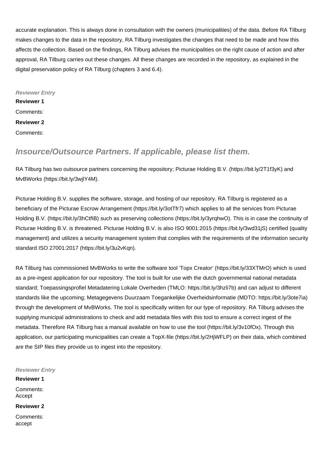accurate explanation. This is always done in consultation with the owners (municipalities) of the data. Before RA Tilburg makes changes to the data in the repository, RA Tilburg investigates the changes that need to be made and how this affects the collection. Based on the findings, RA Tilburg advises the municipalities on the right cause of action and after approval, RA Tilburg carries out these changes. All these changes are recorded in the repository, as explained in the digital preservation policy of RA Tilburg (chapters 3 and 6.4).

**Reviewer Entry Reviewer 1** Comments: **Reviewer 2** Comments:

### **Insource/Outsource Partners. If applicable, please list them.**

RA Tilburg has two outsource partners concerning the repository; Picturae Holding B.V. (<https://bit.ly/2T1f3yK>) and MvBWorks ([https://bit.ly/3wjlY4M\)](https://bit.ly/3wjlY4M).

Picturae Holding B.V. supplies the software, storage, and hosting of our repository. RA Tilburg is registered as a beneficiary of the Picturae Escrow Arrangement [\(https://bit.ly/3otTfr7](https://bit.ly/3otTfr7)) which applies to all the services from Picturae Holding B.V. [\(https://bit.ly/3hCtfIB\)](https://bit.ly/3hCtfIB) such as preserving collections [\(https://bit.ly/3yrqhwO\)](https://bit.ly/3yrqhwO). This is in case the continuity of Picturae Holding B.V. is threatened. Picturae Holding B.V. is also ISO 9001:2015 ([https://bit.ly/3wd31jS\)](https://bit.ly/3wd31jS) certified (quality management) and utilizes a security management system that complies with the requirements of the information security standard ISO 27001:2017 ([https://bit.ly/3u2vKqn\)](https://bit.ly/3u2vKqn).

RA Tilburg has commissioned MvBWorks to write the software tool 'Topx Creator' [\(https://bit.ly/33XTMrO](https://bit.ly/33XTMrO)) which is used as a pre-ingest application for our repository. The tool is built for use with the dutch governmental national metadata standard; Toepassingsprofiel Metadatering Lokale Overheden (TMLO: [https://bit.ly/3hzli7b\)](https://bit.ly/3hzli7b) and can adjust to different standards like the upcoming; Metagegevens Duurzaam Toegankelijke Overheidsinformatie (MDTO: [https://bit.ly/3ote7ia\)](https://bit.ly/3ote7ia) through the development of MvBWorks. The tool is specifically written for our type of repository. RA Tilburg advises the supplying municipal administrations to check and add metadata files with this tool to ensure a correct ingest of the metadata. Therefore RA Tilburg has a manual available on how to use the tool (<https://bit.ly/3v10fOx>). Through this application, our participating municipalities can create a TopX-file [\(https://bit.ly/2HjWFLP](https://bit.ly/2HjWFLP)) on their data, which combined are the SIP files they provide us to ingest into the repository.

**Reviewer Entry**

Comments: Accept

**Reviewer 1**

**Reviewer 2**

Comments: accept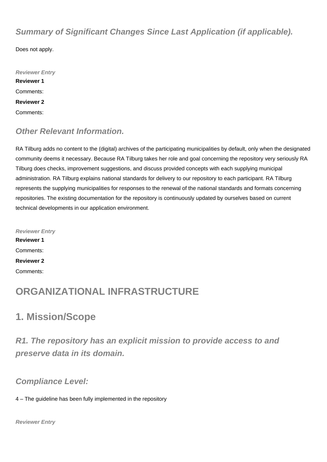## **Summary of Significant Changes Since Last Application (if applicable).**

Does not apply.

**Reviewer Entry Reviewer 1** Comments: **Reviewer 2** Comments:

## **Other Relevant Information.**

RA Tilburg adds no content to the (digital) archives of the participating municipalities by default, only when the designated community deems it necessary. Because RA Tilburg takes her role and goal concerning the repository very seriously RA Tilburg does checks, improvement suggestions, and discuss provided concepts with each supplying municipal administration. RA Tilburg explains national standards for delivery to our repository to each participant. RA Tilburg represents the supplying municipalities for responses to the renewal of the national standards and formats concerning repositories. The existing documentation for the repository is continuously updated by ourselves based on current technical developments in our application environment.

**Reviewer Entry Reviewer 1** Comments: **Reviewer 2** Comments:

## **ORGANIZATIONAL INFRASTRUCTURE**

## **1. Mission/Scope**

**R1. The repository has an explicit mission to provide access to and preserve data in its domain.**

### **Compliance Level:**

4 – The guideline has been fully implemented in the repository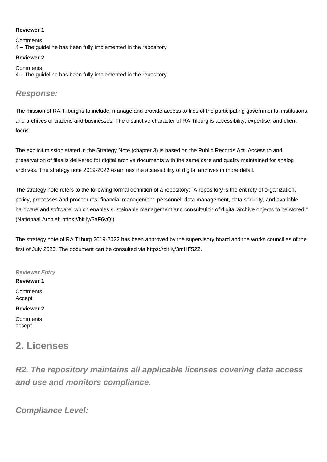#### **Reviewer 1**

Comments: 4 – The guideline has been fully implemented in the repository

#### **Reviewer 2**

Comments: 4 – The guideline has been fully implemented in the repository

### **Response:**

The mission of RA Tilburg is to include, manage and provide access to files of the participating governmental institutions, and archives of citizens and businesses. The distinctive character of RA Tilburg is accessibility, expertise, and client focus.

The explicit mission stated in the Strategy Note (chapter 3) is based on the Public Records Act. Access to and preservation of files is delivered for digital archive documents with the same care and quality maintained for analog archives. The strategy note 2019-2022 examines the accessibility of digital archives in more detail.

The strategy note refers to the following formal definition of a repository: "A repository is the entirety of organization, policy, processes and procedures, financial management, personnel, data management, data security, and available hardware and software, which enables sustainable management and consultation of digital archive objects to be stored." (Nationaal Archief:<https://bit.ly/3aF6yQI>).

The strategy note of RA Tilburg 2019-2022 has been approved by the supervisory board and the works council as of the first of July 2020. The document can be consulted via<https://bit.ly/3mHF52Z.>

**Reviewer Entry**

**Reviewer 1** Comments: Accept

#### **Reviewer 2**

Comments: accept

## **2. Licenses**

**R2. The repository maintains all applicable licenses covering data access and use and monitors compliance.**

**Compliance Level:**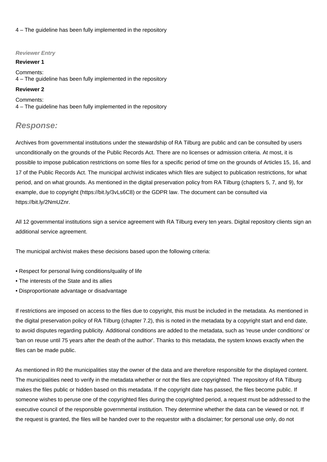#### 4 – The guideline has been fully implemented in the repository

#### **Reviewer Entry**

#### **Reviewer 1**

Comments: 4 – The guideline has been fully implemented in the repository

#### **Reviewer 2**

Comments: 4 – The guideline has been fully implemented in the repository

### **Response:**

Archives from governmental institutions under the stewardship of RA Tilburg are public and can be consulted by users unconditionally on the grounds of the Public Records Act. There are no licenses or admission criteria. At most, it is possible to impose publication restrictions on some files for a specific period of time on the grounds of Articles 15, 16, and 17 of the Public Records Act. The municipal archivist indicates which files are subject to publication restrictions, for what period, and on what grounds. As mentioned in the digital preservation policy from RA Tilburg (chapters 5, 7, and 9), for example, due to copyright ([https://bit.ly/3vLs6C8\)](https://bit.ly/3vLs6C8) or the GDPR law. The document can be consulted via <https://bit.ly/2NmUZnr.>

All 12 governmental institutions sign a service agreement with RA Tilburg every ten years. Digital repository clients sign an additional service agreement.

The municipal archivist makes these decisions based upon the following criteria:

- Respect for personal living conditions/quality of life
- The interests of the State and its allies
- Disproportionate advantage or disadvantage

If restrictions are imposed on access to the files due to copyright, this must be included in the metadata. As mentioned in the digital preservation policy of RA Tilburg (chapter 7.2), this is noted in the metadata by a copyright start and end date, to avoid disputes regarding publicity. Additional conditions are added to the metadata, such as 'reuse under conditions' or 'ban on reuse until 75 years after the death of the author'. Thanks to this metadata, the system knows exactly when the files can be made public.

As mentioned in R0 the municipalities stay the owner of the data and are therefore responsible for the displayed content. The municipalities need to verify in the metadata whether or not the files are copyrighted. The repository of RA Tilburg makes the files public or hidden based on this metadata. If the copyright date has passed, the files become public. If someone wishes to peruse one of the copyrighted files during the copyrighted period, a request must be addressed to the executive council of the responsible governmental institution. They determine whether the data can be viewed or not. If the request is granted, the files will be handed over to the requestor with a disclaimer; for personal use only, do not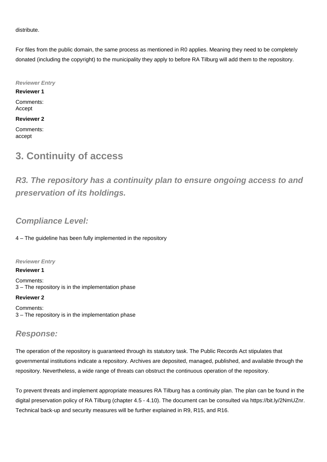distribute.

For files from the public domain, the same process as mentioned in R0 applies. Meaning they need to be completely donated (including the copyright) to the municipality they apply to before RA Tilburg will add them to the repository.

**Reviewer Entry Reviewer 1** Comments: Accept **Reviewer 2**

Comments: accept

## **3. Continuity of access**

**R3. The repository has a continuity plan to ensure ongoing access to and preservation of its holdings.**

## **Compliance Level:**

4 – The guideline has been fully implemented in the repository

#### **Reviewer Entry**

**Reviewer 1**

Comments: 3 – The repository is in the implementation phase

#### **Reviewer 2**

Comments: 3 – The repository is in the implementation phase

### **Response:**

The operation of the repository is guaranteed through its statutory task. The Public Records Act stipulates that governmental institutions indicate a repository. Archives are deposited, managed, published, and available through the repository. Nevertheless, a wide range of threats can obstruct the continuous operation of the repository.

To prevent threats and implement appropriate measures RA Tilburg has a continuity plan. The plan can be found in the digital preservation policy of RA Tilburg (chapter 4.5 - 4.10). The document can be consulted via <https://bit.ly/2NmUZnr.> Technical back-up and security measures will be further explained in R9, R15, and R16.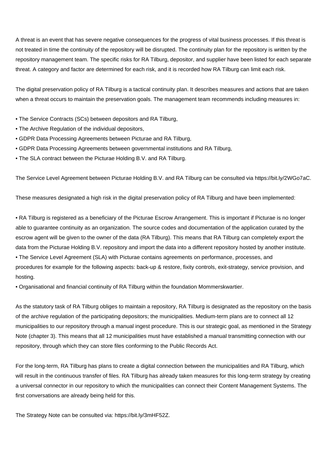A threat is an event that has severe negative consequences for the progress of vital business processes. If this threat is not treated in time the continuity of the repository will be disrupted. The continuity plan for the repository is written by the repository management team. The specific risks for RA Tilburg, depositor, and supplier have been listed for each separate threat. A category and factor are determined for each risk, and it is recorded how RA Tilburg can limit each risk.

The digital preservation policy of RA Tilburg is a tactical continuity plan. It describes measures and actions that are taken when a threat occurs to maintain the preservation goals. The management team recommends including measures in:

- The Service Contracts (SCs) between depositors and RA Tilburg,
- The Archive Regulation of the individual depositors,
- GDPR Data Processing Agreements between Picturae and RA Tilburg,
- GDPR Data Processing Agreements between governmental institutions and RA Tilburg,
- The SLA contract between the Picturae Holding B.V. and RA Tilburg.

The Service Level Agreement between Picturae Holding B.V. and RA Tilburg can be consulted via<https://bit.ly/2WGo7aC.>

These measures designated a high risk in the digital preservation policy of RA Tilburg and have been implemented:

• RA Tilburg is registered as a beneficiary of the Picturae Escrow Arrangement. This is important if Picturae is no longer able to guarantee continuity as an organization. The source codes and documentation of the application curated by the escrow agent will be given to the owner of the data (RA Tilburg). This means that RA Tilburg can completely export the data from the Picturae Holding B.V. repository and import the data into a different repository hosted by another institute.

• The Service Level Agreement (SLA) with Picturae contains agreements on performance, processes, and procedures for example for the following aspects: back-up & restore, fixity controls, exit-strategy, service provision, and hosting.

• Organisational and financial continuity of RA Tilburg within the foundation Mommerskwartier.

As the statutory task of RA Tilburg obliges to maintain a repository, RA Tilburg is designated as the repository on the basis of the archive regulation of the participating depositors; the municipalities. Medium-term plans are to connect all 12 municipalities to our repository through a manual ingest procedure. This is our strategic goal, as mentioned in the Strategy Note (chapter 3). This means that all 12 municipalities must have established a manual transmitting connection with our repository, through which they can store files conforming to the Public Records Act.

For the long-term, RA Tilburg has plans to create a digital connection between the municipalities and RA Tilburg, which will result in the continuous transfer of files. RA Tilburg has already taken measures for this long-term strategy by creating a universal connector in our repository to which the municipalities can connect their Content Management Systems. The first conversations are already being held for this.

The Strategy Note can be consulted via: <https://bit.ly/3mHF52Z.>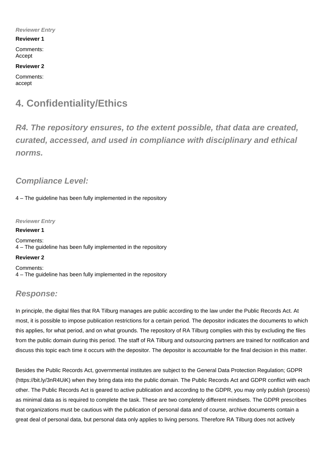#### **Reviewer Entry**

#### **Reviewer 1**

Comments: Accept

**Reviewer 2**

Comments: accept

## **4. Confidentiality/Ethics**

**R4. The repository ensures, to the extent possible, that data are created, curated, accessed, and used in compliance with disciplinary and ethical norms.**

### **Compliance Level:**

4 – The guideline has been fully implemented in the repository

**Reviewer Entry**

**Reviewer 1** Comments: 4 – The guideline has been fully implemented in the repository

#### **Reviewer 2**

Comments: 4 – The guideline has been fully implemented in the repository

### **Response:**

In principle, the digital files that RA Tilburg manages are public according to the law under the Public Records Act. At most, it is possible to impose publication restrictions for a certain period. The depositor indicates the documents to which this applies, for what period, and on what grounds. The repository of RA Tilburg complies with this by excluding the files from the public domain during this period. The staff of RA Tilburg and outsourcing partners are trained for notification and discuss this topic each time it occurs with the depositor. The depositor is accountable for the final decision in this matter.

Besides the Public Records Act, governmental institutes are subject to the General Data Protection Regulation; GDPR (<https://bit.ly/3nR4UiK>) when they bring data into the public domain. The Public Records Act and GDPR conflict with each other. The Public Records Act is geared to active publication and according to the GDPR, you may only publish (process) as minimal data as is required to complete the task. These are two completely different mindsets. The GDPR prescribes that organizations must be cautious with the publication of personal data and of course, archive documents contain a great deal of personal data, but personal data only applies to living persons. Therefore RA Tilburg does not actively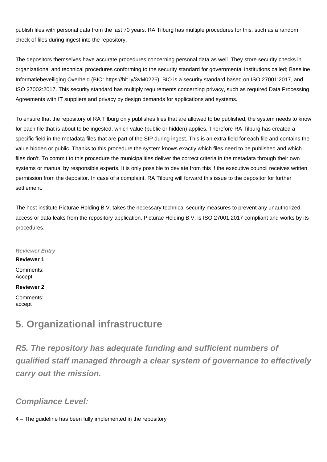publish files with personal data from the last 70 years. RA Tilburg has multiple procedures for this, such as a random check of files during ingest into the repository.

The depositors themselves have accurate procedures concerning personal data as well. They store security checks in organizational and technical procedures conforming to the security standard for governmental institutions called; Baseline Informatiebeveiliging Overheid (BIO: [https://bit.ly/3vM0226\)](https://bit.ly/3vM0226). BIO is a security standard based on ISO 27001:2017, and ISO 27002:2017. This security standard has multiply requirements concerning privacy, such as required Data Processing Agreements with IT suppliers and privacy by design demands for applications and systems.

To ensure that the repository of RA Tilburg only publishes files that are allowed to be published, the system needs to know for each file that is about to be ingested, which value (public or hidden) applies. Therefore RA Tilburg has created a specific field in the metadata files that are part of the SIP during ingest. This is an extra field for each file and contains the value hidden or public. Thanks to this procedure the system knows exactly which files need to be published and which files don't. To commit to this procedure the municipalities deliver the correct criteria in the metadata through their own systems or manual by responsible experts. It is only possible to deviate from this if the executive council receives written permission from the depositor. In case of a complaint, RA Tilburg will forward this issue to the depositor for further settlement.

The host institute Picturae Holding B.V. takes the necessary technical security measures to prevent any unauthorized access or data leaks from the repository application. Picturae Holding B.V. is ISO 27001:2017 compliant and works by its procedures.

**Reviewer Entry**

**Reviewer 1**

Comments: Accept

#### **Reviewer 2**

Comments: accept

## **5. Organizational infrastructure**

**R5. The repository has adequate funding and sufficient numbers of qualified staff managed through a clear system of governance to effectively carry out the mission.**

## **Compliance Level:**

4 – The guideline has been fully implemented in the repository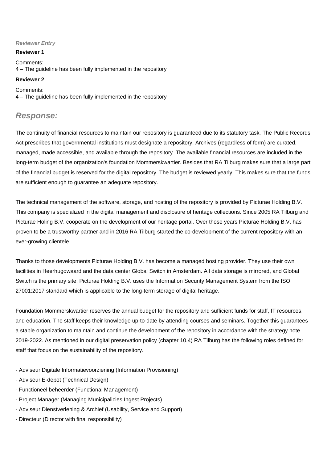#### **Reviewer Entry**

#### **Reviewer 1**

Comments: 4 – The guideline has been fully implemented in the repository

#### **Reviewer 2**

Comments: 4 – The guideline has been fully implemented in the repository

### **Response:**

The continuity of financial resources to maintain our repository is guaranteed due to its statutory task. The Public Records Act prescribes that governmental institutions must designate a repository. Archives (regardless of form) are curated, managed, made accessible, and available through the repository. The available financial resources are included in the long-term budget of the organization's foundation Mommerskwartier. Besides that RA Tilburg makes sure that a large part of the financial budget is reserved for the digital repository. The budget is reviewed yearly. This makes sure that the funds are sufficient enough to guarantee an adequate repository.

The technical management of the software, storage, and hosting of the repository is provided by Picturae Holding B.V. This company is specialized in the digital management and disclosure of heritage collections. Since 2005 RA Tilburg and Picturae Holing B.V. cooperate on the development of our heritage portal. Over those years Picturae Holding B.V. has proven to be a trustworthy partner and in 2016 RA Tilburg started the co-development of the current repository with an ever-growing clientele.

Thanks to those developments Picturae Holding B.V. has become a managed hosting provider. They use their own facilities in Heerhugowaard and the data center Global Switch in Amsterdam. All data storage is mirrored, and Global Switch is the primary site. Picturae Holding B.V. uses the Information Security Management System from the ISO 27001:2017 standard which is applicable to the long-term storage of digital heritage.

Foundation Mommerskwartier reserves the annual budget for the repository and sufficient funds for staff, IT resources, and education. The staff keeps their knowledge up-to-date by attending courses and seminars. Together this guarantees a stable organization to maintain and continue the development of the repository in accordance with the strategy note 2019-2022. As mentioned in our digital preservation policy (chapter 10.4) RA Tilburg has the following roles defined for staff that focus on the sustainability of the repository.

- Adviseur Digitale Informatievoorziening (Information Provisioning)
- Adviseur E-depot (Technical Design)
- Functioneel beheerder (Functional Management)
- Project Manager (Managing Municipalicies Ingest Projects)
- Adviseur Dienstverlening & Archief (Usability, Service and Support)
- Directeur (Director with final responsibility)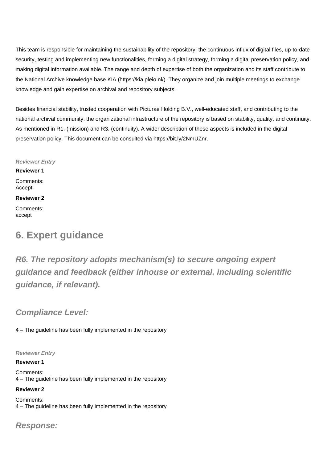This team is responsible for maintaining the sustainability of the repository, the continuous influx of digital files, up-to-date security, testing and implementing new functionalities, forming a digital strategy, forming a digital preservation policy, and making digital information available. The range and depth of expertise of both the organization and its staff contribute to the National Archive knowledge base KIA ([https://kia.pleio.nl/\)](https://kia.pleio.nl/). They organize and join multiple meetings to exchange knowledge and gain expertise on archival and repository subjects.

Besides financial stability, trusted cooperation with Picturae Holding B.V., well-educated staff, and contributing to the national archival community, the organizational infrastructure of the repository is based on stability, quality, and continuity. As mentioned in R1. (mission) and R3. (continuity). A wider description of these aspects is included in the digital preservation policy. This document can be consulted via <https://bit.ly/2NmUZnr.>

**Reviewer Entry**

**Reviewer 1** Comments: Accept

#### **Reviewer 2**

Comments: accept

## **6. Expert guidance**

**R6. The repository adopts mechanism(s) to secure ongoing expert guidance and feedback (either inhouse or external, including scientific guidance, if relevant).**

### **Compliance Level:**

4 – The guideline has been fully implemented in the repository

**Reviewer Entry**

#### **Reviewer 1**

Comments: 4 – The guideline has been fully implemented in the repository

#### **Reviewer 2**

Comments: 4 – The guideline has been fully implemented in the repository

**Response:**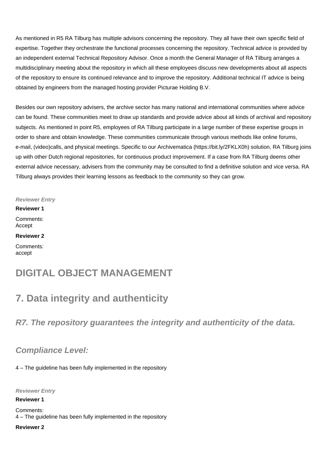As mentioned in R5 RA Tilburg has multiple advisors concerning the repository. They all have their own specific field of expertise. Together they orchestrate the functional processes concerning the repository. Technical advice is provided by an independent external Technical Repository Advisor. Once a month the General Manager of RA Tilburg arranges a multidisciplinary meeting about the repository in which all these employees discuss new developments about all aspects of the repository to ensure its continued relevance and to improve the repository. Additional technical IT advice is being obtained by engineers from the managed hosting provider Picturae Holding B.V.

Besides our own repository advisers, the archive sector has many national and international communities where advice can be found. These communities meet to draw up standards and provide advice about all kinds of archival and repository subjects. As mentioned in point R5, employees of RA Tilburg participate in a large number of these expertise groups in order to share and obtain knowledge. These communities communicate through various methods like online forums, e-mail, (video)calls, and physical meetings. Specific to our Archivematica ([https://bit.ly/2FKLX0h\)](https://bit.ly/2FKLX0h) solution, RA Tilburg joins up with other Dutch regional repositories, for continuous product improvement. If a case from RA Tilburg deems other external advice necessary, advisers from the community may be consulted to find a definitive solution and vice versa. RA Tilburg always provides their learning lessons as feedback to the community so they can grow.

**Reviewer Entry Reviewer 1** Comments: Accept **Reviewer 2** Comments: accept

## **DIGITAL OBJECT MANAGEMENT**

## **7. Data integrity and authenticity**

**R7. The repository guarantees the integrity and authenticity of the data.**

### **Compliance Level:**

4 – The guideline has been fully implemented in the repository

**Reviewer Entry**

**Reviewer 1**

Comments: 4 – The guideline has been fully implemented in the repository

**Reviewer 2**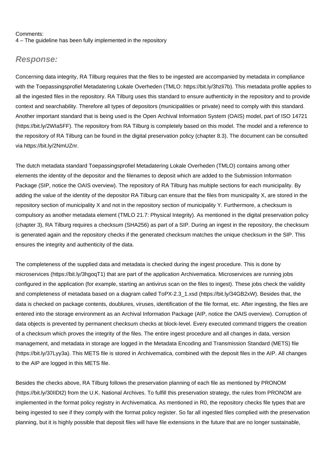#### Comments:

4 – The guideline has been fully implemented in the repository

#### **Response:**

Concerning data integrity, RA Tilburg requires that the files to be ingested are accompanied by metadata in compliance with the Toepassingsprofiel Metadatering Lokale Overheden (TMLO:<https://bit.ly/3hzli7b>). This metadata profile applies to all the ingested files in the repository. RA Tilburg uses this standard to ensure authenticity in the repository and to provide context and searchability. Therefore all types of depositors (municipalities or private) need to comply with this standard. Another important standard that is being used is the Open Archival Information System (OAIS) model, part of ISO 14721 (<https://bit.ly/2WIa5FF>). The repository from RA Tilburg is completely based on this model. The model and a reference to the repository of RA Tilburg can be found in the digital preservation policy (chapter 8.3). The document can be consulted via <https://bit.ly/2NmUZnr.>

The dutch metadata standard Toepassingsprofiel Metadatering Lokale Overheden (TMLO) contains among other elements the identity of the depositor and the filenames to deposit which are added to the Submission Information Package (SIP, notice the OAIS overview). The repository of RA Tilburg has multiple sections for each municipality. By adding the value of the identity of the depositor RA Tilburg can ensure that the files from municipality X, are stored in the repository section of municipality X and not in the repository section of municipality Y. Furthermore, a checksum is compulsory as another metadata element (TMLO 21.7: Physical Integrity). As mentioned in the digital preservation policy (chapter 3), RA Tilburg requires a checksum (SHA256) as part of a SIP. During an ingest in the repository, the checksum is generated again and the repository checks if the generated checksum matches the unique checksum in the SIP. This ensures the integrity and authenticity of the data.

The completeness of the supplied data and metadata is checked during the ingest procedure. This is done by microservices (<https://bit.ly/3hgoqT1>) that are part of the application Archivematica. Microservices are running jobs configured in the application (for example, starting an antivirus scan on the files to ingest). These jobs check the validity and completeness of metadata based on a diagram called ToPX-2.3\_1.xsd ([https://bit.ly/34GB2xW\)](https://bit.ly/34GB2xW). Besides that, the data is checked on package contents, doublures, viruses, identification of the file format, etc. After ingesting, the files are entered into the storage environment as an Archival Information Package (AIP, notice the OAIS overview). Corruption of data objects is prevented by permanent checksum checks at block-level. Every executed command triggers the creation of a checksum which proves the integrity of the files. The entire ingest procedure and all changes in data, version management, and metadata in storage are logged in the Metadata Encoding and Transmission Standard (METS) file ([https://bit.ly/37Lyy3a\)](https://bit.ly/37Lyy3a). This METS file is stored in Archivematica, combined with the deposit files in the AIP. All changes to the AIP are logged in this METS file.

Besides the checks above, RA Tilburg follows the preservation planning of each file as mentioned by PRONOM (<https://bit.ly/30IIDt2>) from the U.K. National Archives. To fulfill this preservation strategy, the rules from PRONOM are implemented in the format policy registry in Archivematica. As mentioned in R0, the repository checks file types that are being ingested to see if they comply with the format policy register. So far all ingested files complied with the preservation planning, but it is highly possible that deposit files will have file extensions in the future that are no longer sustainable,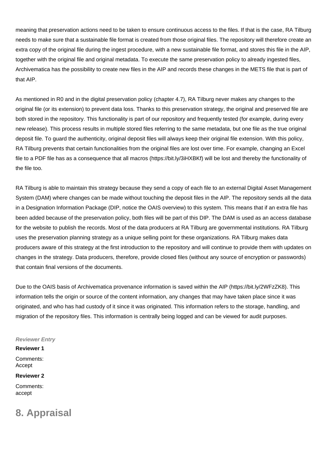meaning that preservation actions need to be taken to ensure continuous access to the files. If that is the case, RA Tilburg needs to make sure that a sustainable file format is created from those original files. The repository will therefore create an extra copy of the original file during the ingest procedure, with a new sustainable file format, and stores this file in the AIP, together with the original file and original metadata. To execute the same preservation policy to already ingested files, Archivematica has the possibility to create new files in the AIP and records these changes in the METS file that is part of that AIP.

As mentioned in R0 and in the digital preservation policy (chapter 4.7), RA Tilburg never makes any changes to the original file (or its extension) to prevent data loss. Thanks to this preservation strategy, the original and preserved file are both stored in the repository. This functionality is part of our repository and frequently tested (for example, during every new release). This process results in multiple stored files referring to the same metadata, but one file as the true original deposit file. To guard the authenticity, original deposit files will always keep their original file extension. With this policy, RA Tilburg prevents that certain functionalities from the original files are lost over time. For example, changing an Excel file to a PDF file has as a consequence that all macros ([https://bit.ly/3iHXBKf\)](https://bit.ly/3iHXBKf) will be lost and thereby the functionality of the file too.

RA Tilburg is able to maintain this strategy because they send a copy of each file to an external Digital Asset Management System (DAM) where changes can be made without touching the deposit files in the AIP. The repository sends all the data in a Designation Information Package (DIP, notice the OAIS overview) to this system. This means that if an extra file has been added because of the preservation policy, both files will be part of this DIP. The DAM is used as an access database for the website to publish the records. Most of the data producers at RA Tilburg are governmental institutions. RA Tilburg uses the preservation planning strategy as a unique selling point for these organizations. RA Tilburg makes data producers aware of this strategy at the first introduction to the repository and will continue to provide them with updates on changes in the strategy. Data producers, therefore, provide closed files (without any source of encryption or passwords) that contain final versions of the documents.

Due to the OAIS basis of Archivematica provenance information is saved within the AIP ([https://bit.ly/2WFzZK8\)](https://bit.ly/2WFzZK8). This information tells the origin or source of the content information, any changes that may have taken place since it was originated, and who has had custody of it since it was originated. This information refers to the storage, handling, and migration of the repository files. This information is centrally being logged and can be viewed for audit purposes.

#### **Reviewer Entry**

#### **Reviewer 1**

Comments: Accept

#### **Reviewer 2**

Comments: accept

## **8. Appraisal**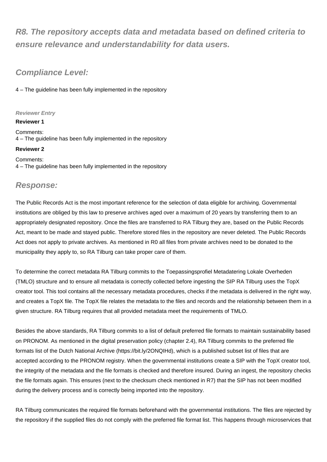## **R8. The repository accepts data and metadata based on defined criteria to ensure relevance and understandability for data users.**

### **Compliance Level:**

4 – The guideline has been fully implemented in the repository

#### **Reviewer Entry**

**Reviewer 1**

Comments: 4 – The guideline has been fully implemented in the repository

#### **Reviewer 2**

Comments: 4 – The guideline has been fully implemented in the repository

### **Response:**

The Public Records Act is the most important reference for the selection of data eligible for archiving. Governmental institutions are obliged by this law to preserve archives aged over a maximum of 20 years by transferring them to an appropriately designated repository. Once the files are transferred to RA Tilburg they are, based on the Public Records Act, meant to be made and stayed public. Therefore stored files in the repository are never deleted. The Public Records Act does not apply to private archives. As mentioned in R0 all files from private archives need to be donated to the municipality they apply to, so RA Tilburg can take proper care of them.

To determine the correct metadata RA Tilburg commits to the Toepassingsprofiel Metadatering Lokale Overheden (TMLO) structure and to ensure all metadata is correctly collected before ingesting the SIP RA Tilburg uses the TopX creator tool. This tool contains all the necessary metadata procedures, checks if the metadata is delivered in the right way, and creates a TopX file. The TopX file relates the metadata to the files and records and the relationship between them in a given structure. RA Tilburg requires that all provided metadata meet the requirements of TMLO.

Besides the above standards, RA Tilburg commits to a list of default preferred file formats to maintain sustainability based on PRONOM. As mentioned in the digital preservation policy (chapter 2.4), RA Tilburg commits to the preferred file formats list of the Dutch National Archive [\(https://bit.ly/2ONQIHd](https://bit.ly/2ONQIHd)), which is a published subset list of files that are accepted according to the PRONOM registry. When the governmental institutions create a SIP with the TopX creator tool, the integrity of the metadata and the file formats is checked and therefore insured. During an ingest, the repository checks the file formats again. This ensures (next to the checksum check mentioned in R7) that the SIP has not been modified during the delivery process and is correctly being imported into the repository.

RA Tilburg communicates the required file formats beforehand with the governmental institutions. The files are rejected by the repository if the supplied files do not comply with the preferred file format list. This happens through microservices that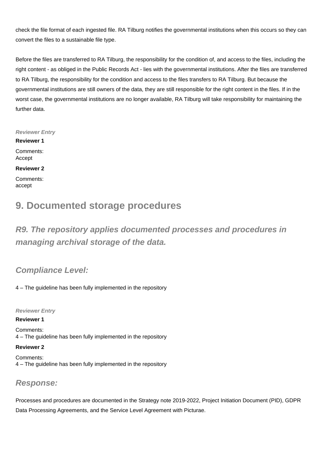check the file format of each ingested file. RA Tilburg notifies the governmental institutions when this occurs so they can convert the files to a sustainable file type.

Before the files are transferred to RA Tilburg, the responsibility for the condition of, and access to the files, including the right content - as obliged in the Public Records Act - lies with the governmental institutions. After the files are transferred to RA Tilburg, the responsibility for the condition and access to the files transfers to RA Tilburg. But because the governmental institutions are still owners of the data, they are still responsible for the right content in the files. If in the worst case, the governmental institutions are no longer available, RA Tilburg will take responsibility for maintaining the further data.

**Reviewer Entry**

**Reviewer 1** Comments: Accept

**Reviewer 2**

Comments: accept

## **9. Documented storage procedures**

**R9. The repository applies documented processes and procedures in managing archival storage of the data.**

**Compliance Level:**

4 – The guideline has been fully implemented in the repository

**Reviewer Entry**

#### **Reviewer 1**

Comments: 4 – The guideline has been fully implemented in the repository

**Reviewer 2**

Comments: 4 – The guideline has been fully implemented in the repository

### **Response:**

Processes and procedures are documented in the Strategy note 2019-2022, Project Initiation Document (PID), GDPR Data Processing Agreements, and the Service Level Agreement with Picturae.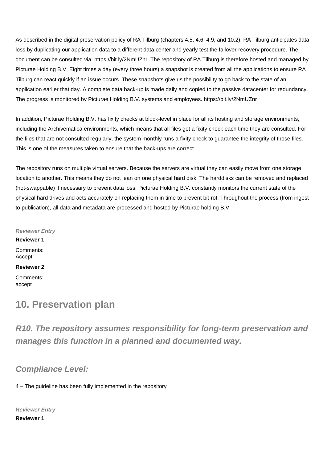As described in the digital preservation policy of RA Tilburg (chapters 4.5, 4.6, 4.9, and 10.2), RA Tilburg anticipates data loss by duplicating our application data to a different data center and yearly test the failover-recovery procedure. The document can be consulted via: <https://bit.ly/2NmUZnr.> The repository of RA Tilburg is therefore hosted and managed by Picturae Holding B.V. Eight times a day (every three hours) a snapshot is created from all the applications to ensure RA Tilburg can react quickly if an issue occurs. These snapshots give us the possibility to go back to the state of an application earlier that day. A complete data back-up is made daily and copied to the passive datacenter for redundancy. The progress is monitored by Picturae Holding B.V. systems and employees.<https://bit.ly/2NmUZnr>

In addition, Picturae Holding B.V. has fixity checks at block-level in place for all its hosting and storage environments, including the Archivematica environments, which means that all files get a fixity check each time they are consulted. For the files that are not consulted regularly, the system monthly runs a fixity check to guarantee the integrity of those files. This is one of the measures taken to ensure that the back-ups are correct.

The repository runs on multiple virtual servers. Because the servers are virtual they can easily move from one storage location to another. This means they do not lean on one physical hard disk. The harddisks can be removed and replaced (hot-swappable) if necessary to prevent data loss. Picturae Holding B.V. constantly monitors the current state of the physical hard drives and acts accurately on replacing them in time to prevent bit-rot. Throughout the process (from ingest to publication), all data and metadata are processed and hosted by Picturae holding B.V.

**Reviewer Entry**

**Reviewer 1**

Comments: Accept

**Reviewer 2**

Comments: accept

## **10. Preservation plan**

**R10. The repository assumes responsibility for long-term preservation and manages this function in a planned and documented way.**

### **Compliance Level:**

4 – The guideline has been fully implemented in the repository

**Reviewer Entry**

**Reviewer 1**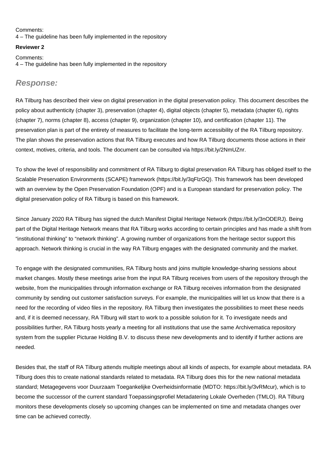#### Comments: 4 – The guideline has been fully implemented in the repository

#### **Reviewer 2**

Comments: 4 – The guideline has been fully implemented in the repository

### **Response:**

RA Tilburg has described their view on digital preservation in the digital preservation policy. This document describes the policy about authenticity (chapter 3), preservation (chapter 4), digital objects (chapter 5), metadata (chapter 6), rights (chapter 7), norms (chapter 8), access (chapter 9), organization (chapter 10), and certification (chapter 11). The preservation plan is part of the entirety of measures to facilitate the long-term accessibility of the RA Tilburg repository. The plan shows the preservation actions that RA Tilburg executes and how RA Tilburg documents those actions in their context, motives, criteria, and tools. The document can be consulted via<https://bit.ly/2NmUZnr.>

To show the level of responsibility and commitment of RA Tilburg to digital preservation RA Tilburg has obliged itself to the Scalable Preservation Environments (SCAPE) framework [\(https://bit.ly/3qFlzGQ\)](https://bit.ly/3qFlzGQ). This framework has been developed with an overview by the Open Preservation Foundation (OPF) and is a European standard for preservation policy. The digital preservation policy of RA Tilburg is based on this framework.

Since January 2020 RA Tilburg has signed the dutch Manifest Digital Heritage Network [\(https://bit.ly/3nODERJ](https://bit.ly/3nODERJ)). Being part of the Digital Heritage Network means that RA Tilburg works according to certain principles and has made a shift from "institutional thinking" to "network thinking". A growing number of organizations from the heritage sector support this approach. Network thinking is crucial in the way RA Tilburg engages with the designated community and the market.

To engage with the designated communities, RA Tilburg hosts and joins multiple knowledge-sharing sessions about market changes. Mostly these meetings arise from the input RA Tilburg receives from users of the repository through the website, from the municipalities through information exchange or RA Tilburg receives information from the designated community by sending out customer satisfaction surveys. For example, the municipalities will let us know that there is a need for the recording of video files in the repository. RA Tilburg then investigates the possibilities to meet these needs and, if it is deemed necessary, RA Tilburg will start to work to a possible solution for it. To investigate needs and possibilities further, RA Tilburg hosts yearly a meeting for all institutions that use the same Archivematica repository system from the supplier Picturae Holding B.V. to discuss these new developments and to identify if further actions are needed.

Besides that, the staff of RA Tilburg attends multiple meetings about all kinds of aspects, for example about metadata. RA Tilburg does this to create national standards related to metadata. RA Tilburg does this for the new national metadata standard; Metagegevens voor Duurzaam Toegankelijke Overheidsinformatie (MDTO: [https://bit.ly/3vRMcur\)](https://bit.ly/3vRMcur), which is to become the successor of the current standard Toepassingsprofiel Metadatering Lokale Overheden (TMLO). RA Tilburg monitors these developments closely so upcoming changes can be implemented on time and metadata changes over time can be achieved correctly.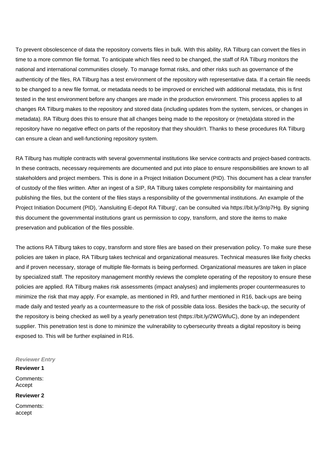To prevent obsolescence of data the repository converts files in bulk. With this ability, RA Tilburg can convert the files in time to a more common file format. To anticipate which files need to be changed, the staff of RA Tilburg monitors the national and international communities closely. To manage format risks, and other risks such as governance of the authenticity of the files, RA Tilburg has a test environment of the repository with representative data. If a certain file needs to be changed to a new file format, or metadata needs to be improved or enriched with additional metadata, this is first tested in the test environment before any changes are made in the production environment. This process applies to all changes RA Tilburg makes to the repository and stored data (including updates from the system, services, or changes in metadata). RA Tilburg does this to ensure that all changes being made to the repository or (meta)data stored in the repository have no negative effect on parts of the repository that they shouldn't. Thanks to these procedures RA Tilburg can ensure a clean and well-functioning repository system.

RA Tilburg has multiple contracts with several governmental institutions like service contracts and project-based contracts. In these contracts, necessary requirements are documented and put into place to ensure responsibilities are known to all stakeholders and project members. This is done in a Project Initiation Document (PID). This document has a clear transfer of custody of the files written. After an ingest of a SIP, RA Tilburg takes complete responsibility for maintaining and publishing the files, but the content of the files stays a responsibility of the governmental institutions. An example of the Project Initiation Document (PID), 'Aansluiting E-depot RA Tilburg', can be consulted via <https://bit.ly/3nIp7Hg.> By signing this document the governmental institutions grant us permission to copy, transform, and store the items to make preservation and publication of the files possible.

The actions RA Tilburg takes to copy, transform and store files are based on their preservation policy. To make sure these policies are taken in place, RA Tilburg takes technical and organizational measures. Technical measures like fixity checks and if proven necessary, storage of multiple file-formats is being performed. Organizational measures are taken in place by specialized staff. The repository management monthly reviews the complete operating of the repository to ensure these policies are applied. RA Tilburg makes risk assessments (impact analyses) and implements proper countermeasures to minimize the risk that may apply. For example, as mentioned in R9, and further mentioned in R16, back-ups are being made daily and tested yearly as a countermeasure to the risk of possible data loss. Besides the back-up, the security of the repository is being checked as well by a yearly penetration test [\(https://bit.ly/2WGWluC](https://bit.ly/2WGWluC)), done by an independent supplier. This penetration test is done to minimize the vulnerability to cybersecurity threats a digital repository is being exposed to. This will be further explained in R16.

**Reviewer Entry**

**Reviewer 1** Comments: Accept

**Reviewer 2**

Comments: accept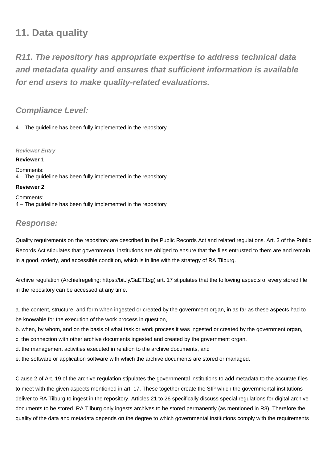## **11. Data quality**

**R11. The repository has appropriate expertise to address technical data and metadata quality and ensures that sufficient information is available for end users to make quality-related evaluations.**

### **Compliance Level:**

4 – The guideline has been fully implemented in the repository

**Reviewer Entry**

**Reviewer 1** Comments: 4 – The guideline has been fully implemented in the repository **Reviewer 2**

Comments: 4 – The guideline has been fully implemented in the repository

### **Response:**

Quality requirements on the repository are described in the Public Records Act and related regulations. Art. 3 of the Public Records Act stipulates that governmental institutions are obliged to ensure that the files entrusted to them are and remain in a good, orderly, and accessible condition, which is in line with the strategy of RA Tilburg.

Archive regulation (Archiefregeling: <https://bit.ly/3aET1sg>) art. 17 stipulates that the following aspects of every stored file in the repository can be accessed at any time.

a. the content, structure, and form when ingested or created by the government organ, in as far as these aspects had to be knowable for the execution of the work process in question,

b. when, by whom, and on the basis of what task or work process it was ingested or created by the government organ,

c. the connection with other archive documents ingested and created by the government organ,

d. the management activities executed in relation to the archive documents, and

e. the software or application software with which the archive documents are stored or managed.

Clause 2 of Art. 19 of the archive regulation stipulates the governmental institutions to add metadata to the accurate files to meet with the given aspects mentioned in art. 17. These together create the SIP which the governmental institutions deliver to RA Tilburg to ingest in the repository. Articles 21 to 26 specifically discuss special regulations for digital archive documents to be stored. RA Tilburg only ingests archives to be stored permanently (as mentioned in R8). Therefore the quality of the data and metadata depends on the degree to which governmental institutions comply with the requirements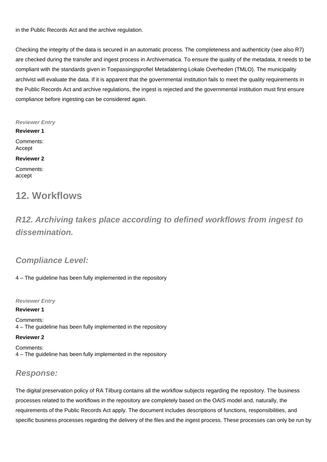in the Public Records Act and the archive regulation.

Checking the integrity of the data is secured in an automatic process. The completeness and authenticity (see also R7) are checked during the transfer and ingest process in Archivematica. To ensure the quality of the metadata, it needs to be compliant with the standards given in Toepassingsprofiel Metadatering Lokale Overheden (TMLO). The municipality archivist will evaluate the data. If it is apparent that the governmental institution fails to meet the quality requirements in the Public Records Act and archive regulations, the ingest is rejected and the governmental institution must first ensure compliance before ingesting can be considered again.

**Reviewer Entry**

**Reviewer 1** Comments: Accept

#### **Reviewer 2**

Comments: accept

## **12. Workflows**

**R12. Archiving takes place according to defined workflows from ingest to dissemination.**

## **Compliance Level:**

4 – The guideline has been fully implemented in the repository

**Reviewer Entry**

**Reviewer 1** Comments: 4 – The guideline has been fully implemented in the repository

#### **Reviewer 2**

Comments: 4 – The guideline has been fully implemented in the repository

## **Response:**

The digital preservation policy of RA Tilburg contains all the workflow subjects regarding the repository. The business processes related to the workflows in the repository are completely based on the OAIS model and, naturally, the requirements of the Public Records Act apply. The document includes descriptions of functions, responsibilities, and specific business processes regarding the delivery of the files and the ingest process. These processes can only be run by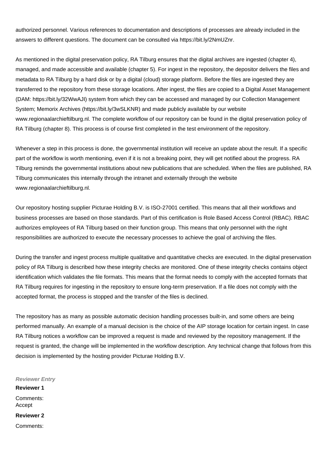authorized personnel. Various references to documentation and descriptions of processes are already included in the answers to different questions. The document can be consulted via<https://bit.ly/2NmUZnr.>

As mentioned in the digital preservation policy, RA Tilburg ensures that the digital archives are ingested (chapter 4), managed, and made accessible and available (chapter 5). For ingest in the repository, the depositor delivers the files and metadata to RA Tilburg by a hard disk or by a digital (cloud) storage platform. Before the files are ingested they are transferred to the repository from these storage locations. After ingest, the files are copied to a Digital Asset Management (DAM:<https://bit.ly/32WwAJI>) system from which they can be accessed and managed by our Collection Management System; Memorix Archives (<https://bit.ly/3wSLKNR>) and made publicly available by our website www.regionaalarchieftilburg.nl. The complete workflow of our repository can be found in the digital preservation policy of RA Tilburg (chapter 8). This process is of course first completed in the test environment of the repository.

Whenever a step in this process is done, the governmental institution will receive an update about the result. If a specific part of the workflow is worth mentioning, even if it is not a breaking point, they will get notified about the progress. RA Tilburg reminds the governmental institutions about new publications that are scheduled. When the files are published, RA Tilburg communicates this internally through the intranet and externally through the website www.regionaalarchieftilburg.nl.

Our repository hosting supplier Picturae Holding B.V. is ISO-27001 certified. This means that all their workflows and business processes are based on those standards. Part of this certification is Role Based Access Control (RBAC). RBAC authorizes employees of RA Tilburg based on their function group. This means that only personnel with the right responsibilities are authorized to execute the necessary processes to achieve the goal of archiving the files.

During the transfer and ingest process multiple qualitative and quantitative checks are executed. In the digital preservation policy of RA Tilburg is described how these integrity checks are monitored. One of these integrity checks contains object identification which validates the file formats. This means that the format needs to comply with the accepted formats that RA Tilburg requires for ingesting in the repository to ensure long-term preservation. If a file does not comply with the accepted format, the process is stopped and the transfer of the files is declined.

The repository has as many as possible automatic decision handling processes built-in, and some others are being performed manually. An example of a manual decision is the choice of the AIP storage location for certain ingest. In case RA Tilburg notices a workflow can be improved a request is made and reviewed by the repository management. If the request is granted, the change will be implemented in the workflow description. Any technical change that follows from this decision is implemented by the hosting provider Picturae Holding B.V.

**Reviewer Entry**

**Reviewer 1** Comments: Accept **Reviewer 2** Comments: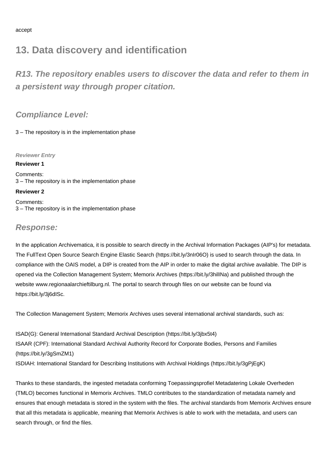## **13. Data discovery and identification**

**R13. The repository enables users to discover the data and refer to them in a persistent way through proper citation.**

**Compliance Level:**

3 – The repository is in the implementation phase

**Reviewer Entry**

#### **Reviewer 1**

Comments: 3 – The repository is in the implementation phase

**Reviewer 2**

Comments: 3 – The repository is in the implementation phase

### **Response:**

In the application Archivematica, it is possible to search directly in the Archival Information Packages (AIP's) for metadata. The FullText Open Source Search Engine Elastic Search (<https://bit.ly/3nIr06O>) is used to search through the data. In compliance with the OAIS model, a DIP is created from the AIP in order to make the digital archive available. The DIP is opened via the Collection Management System; Memorix Archives [\(https://bit.ly/3hilINa](https://bit.ly/3hilINa)) and published through the website www.regionaalarchieftilburg.nl. The portal to search through files on our website can be found via <https://bit.ly/3j6dISc.>

The Collection Management System; Memorix Archives uses several international archival standards, such as:

ISAD(G): General International Standard Archival Description (<https://bit.ly/3jbx5t4>) ISAAR (CPF): International Standard Archival Authority Record for Corporate Bodies, Persons and Families (<https://bit.ly/3gSmZM1>)

ISDIAH: International Standard for Describing Institutions with Archival Holdings [\(https://bit.ly/3gPjEgK\)](https://bit.ly/3gPjEgK)

Thanks to these standards, the ingested metadata conforming Toepassingsprofiel Metadatering Lokale Overheden (TMLO) becomes functional in Memorix Archives. TMLO contributes to the standardization of metadata namely and ensures that enough metadata is stored in the system with the files. The archival standards from Memorix Archives ensure that all this metadata is applicable, meaning that Memorix Archives is able to work with the metadata, and users can search through, or find the files.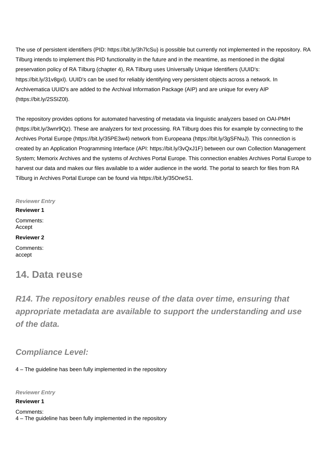The use of persistent identifiers (PID: <https://bit.ly/3h7lcSu>) is possible but currently not implemented in the repository. RA Tilburg intends to implement this PID functionality in the future and in the meantime, as mentioned in the digital preservation policy of RA Tilburg (chapter 4), RA Tilburg uses Universally Unique Identifiers (UUID's: [https://bit.ly/31v8gxI\)](https://bit.ly/31v8gxI). UUID's can be used for reliably identifying very persistent objects across a network. In Archivematica UUID's are added to the Archival Information Package (AIP) and are unique for every AIP ([https://bit.ly/2SSIZ0l\)](https://bit.ly/2SSIZ0l).

The repository provides options for automated harvesting of metadata via linguistic analyzers based on OAI-PMH (<https://bit.ly/3wnr9Qz>). These are analyzers for text processing. RA Tilburg does this for example by connecting to the Archives Portal Europe ([https://bit.ly/35PE3w4\)](https://bit.ly/35PE3w4) network from Europeana ([https://bit.ly/3gSFNuJ\)](https://bit.ly/3gSFNuJ). This connection is created by an Application Programming Interface (API: <https://bit.ly/3vQxJ1F>) between our own Collection Management System; Memorix Archives and the systems of Archives Portal Europe. This connection enables Archives Portal Europe to harvest our data and makes our files available to a wider audience in the world. The portal to search for files from RA Tilburg in Archives Portal Europe can be found via<https://bit.ly/35OneS1.>

**Reviewer Entry**

**Reviewer 1** Comments: Accept

**Reviewer 2**

Comments: accept

## **14. Data reuse**

**R14. The repository enables reuse of the data over time, ensuring that appropriate metadata are available to support the understanding and use of the data.**

**Compliance Level:**

4 – The guideline has been fully implemented in the repository

**Reviewer Entry**

**Reviewer 1**

Comments: 4 – The guideline has been fully implemented in the repository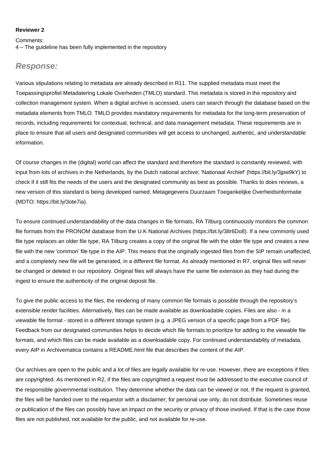#### **Reviewer 2**

#### Comments:

4 – The guideline has been fully implemented in the repository

#### **Response:**

Various stipulations relating to metadata are already described in R11. The supplied metadata must meet the Toepassingsprofiel Metadatering Lokale Overheden (TMLO) standard. This metadata is stored in the repository and collection management system. When a digital archive is accessed, users can search through the database based on the metadata elements from TMLO. TMLO provides mandatory requirements for metadata for the long-term preservation of records, including requirements for contextual, technical, and data management metadata. These requirements are in place to ensure that all users and designated communities will get access to unchanged, authentic, and understandable information.

Of course changes in the (digital) world can affect the standard and therefore the standard is constantly reviewed, with input from lots of archives in the Netherlands, by the Dutch national archive; 'Nationaal Archief' [\(https://bit.ly/3jpw9kY](https://bit.ly/3jpw9kY)) to check if it still fits the needs of the users and the designated community as best as possible. Thanks to does reviews, a new version of this standard is being developed named; Metagegevens Duurzaam Toegankelijke Overheidsinformatie (MDTO: [https://bit.ly/3ote7ia\)](https://bit.ly/3ote7ia).

To ensure continued understandability of the data changes in file formats, RA Tilburg continuously monitors the common file formats from the PRONOM database from the U.K National Archives [\(https://bit.ly/38r6Do8\)](https://bit.ly/38r6Do8). If a new commonly used file type replaces an older file type, RA Tilburg creates a copy of the original file with the older file type and creates a new file with the new 'common' file type in the AIP. This means that the originally ingested files from the SIP remain unaffected, and a completely new file will be generated, in a different file format. As already mentioned in R7, original files will never be changed or deleted in our repository. Original files will always have the same file extension as they had during the ingest to ensure the authenticity of the original deposit file.

To give the public access to the files, the rendering of many common file formats is possible through the repository's extensible render facilities. Alternatively, files can be made available as downloadable copies. Files are also - in a viewable file format - stored in a different storage system (e.g. a JPEG version of a specific page from a PDF file). Feedback from our designated communities helps to decide which file formats to prioritize for adding to the viewable file formats, and which files can be made available as a downloadable copy. For continued understandability of metadata, every AIP in Archivematica contains a README.html file that describes the content of the AIP.

Our archives are open to the public and a lot of files are legally available for re-use. However, there are exceptions if files are copyrighted. As mentioned in R2, if the files are copyrighted a request must be addressed to the executive council of the responsible governmental institution. They determine whether the data can be viewed or not. If the request is granted, the files will be handed over to the requestor with a disclaimer; for personal use only, do not distribute. Sometimes reuse or publication of the files can possibly have an impact on the security or privacy of those involved. If that is the case those files are not published, not available for the public, and not available for re-use.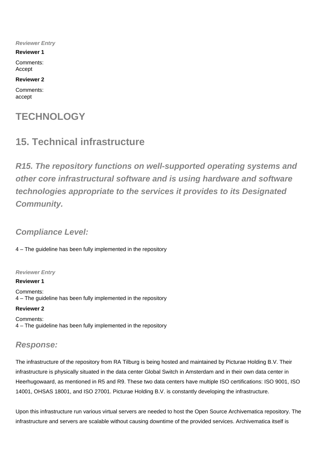**Reviewer Entry**

**Reviewer 1**

Comments: Accept

#### **Reviewer 2**

Comments: accept

## **TECHNOLOGY**

## **15. Technical infrastructure**

**R15. The repository functions on well-supported operating systems and other core infrastructural software and is using hardware and software technologies appropriate to the services it provides to its Designated Community.**

### **Compliance Level:**

4 – The guideline has been fully implemented in the repository

#### **Reviewer Entry**

**Reviewer 1**

Comments: 4 – The guideline has been fully implemented in the repository

**Reviewer 2**

Comments: 4 – The guideline has been fully implemented in the repository

## **Response:**

The infrastructure of the repository from RA Tilburg is being hosted and maintained by Picturae Holding B.V. Their infrastructure is physically situated in the data center Global Switch in Amsterdam and in their own data center in Heerhugowaard, as mentioned in R5 and R9. These two data centers have multiple ISO certifications: ISO 9001, ISO 14001, OHSAS 18001, and ISO 27001. Picturae Holding B.V. is constantly developing the infrastructure.

Upon this infrastructure run various virtual servers are needed to host the Open Source Archivematica repository. The infrastructure and servers are scalable without causing downtime of the provided services. Archivematica itself is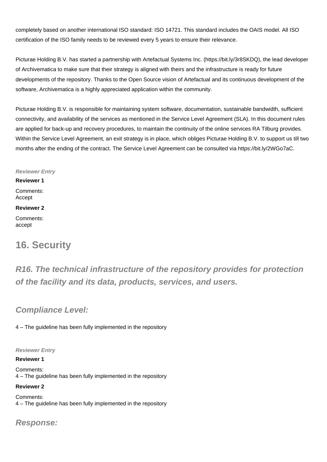completely based on another international ISO standard: ISO 14721. This standard includes the OAIS model. All ISO certification of the ISO family needs to be reviewed every 5 years to ensure their relevance.

Picturae Holding B.V. has started a partnership with Artefactual Systems Inc. [\(https://bit.ly/3r8SKDQ](https://bit.ly/3r8SKDQ)), the lead developer of Archivematica to make sure that their strategy is aligned with theirs and the infrastructure is ready for future developments of the repository. Thanks to the Open Source vision of Artefactual and its continuous development of the software, Archivematica is a highly appreciated application within the community.

Picturae Holding B.V. is responsible for maintaining system software, documentation, sustainable bandwidth, sufficient connectivity, and availability of the services as mentioned in the Service Level Agreement (SLA). In this document rules are applied for back-up and recovery procedures, to maintain the continuity of the online services RA Tilburg provides. Within the Service Level Agreement, an exit strategy is in place, which obliges Picturae Holding B.V. to support us till two months after the ending of the contract. The Service Level Agreement can be consulted via <https://bit.ly/2WGo7aC.>

#### **Reviewer Entry**

**Reviewer 1** Comments: Accept

#### **Reviewer 2**

Comments: accept

## **16. Security**

**R16. The technical infrastructure of the repository provides for protection of the facility and its data, products, services, and users.**

### **Compliance Level:**

4 – The guideline has been fully implemented in the repository

#### **Reviewer Entry**

#### **Reviewer 1**

Comments: 4 – The guideline has been fully implemented in the repository

#### **Reviewer 2**

Comments: 4 – The guideline has been fully implemented in the repository

### **Response:**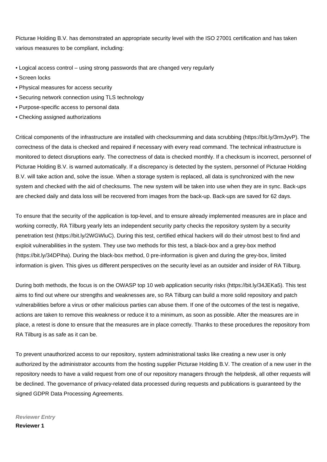Picturae Holding B.V. has demonstrated an appropriate security level with the ISO 27001 certification and has taken various measures to be compliant, including:

- Logical access control using strong passwords that are changed very regularly
- Screen locks
- Physical measures for access security
- Securing network connection using TLS technology
- Purpose-specific access to personal data
- Checking assigned authorizations

Critical components of the infrastructure are installed with checksumming and data scrubbing ([https://bit.ly/3rmJyvP\)](https://bit.ly/3rmJyvP). The correctness of the data is checked and repaired if necessary with every read command. The technical infrastructure is monitored to detect disruptions early. The correctness of data is checked monthly. If a checksum is incorrect, personnel of Picturae Holding B.V. is warned automatically. If a discrepancy is detected by the system, personnel of Picturae Holding B.V. will take action and, solve the issue. When a storage system is replaced, all data is synchronized with the new system and checked with the aid of checksums. The new system will be taken into use when they are in sync. Back-ups are checked daily and data loss will be recovered from images from the back-up. Back-ups are saved for 62 days.

To ensure that the security of the application is top-level, and to ensure already implemented measures are in place and working correctly, RA Tilburg yearly lets an independent security party checks the repository system by a security penetration test [\(https://bit.ly/2WGWluC\)](https://bit.ly/2WGWluC). During this test, certified ethical hackers will do their utmost best to find and exploit vulnerabilities in the system. They use two methods for this test, a black-box and a grey-box method ([https://bit.ly/34DPIha\)](https://bit.ly/34DPIha). During the black-box method, 0 pre-information is given and during the grey-box, limited information is given. This gives us different perspectives on the security level as an outsider and insider of RA Tilburg.

During both methods, the focus is on the OWASP top 10 web application security risks ([https://bit.ly/34JEKa5\)](https://bit.ly/34JEKa5). This test aims to find out where our strengths and weaknesses are, so RA Tilburg can build a more solid repository and patch vulnerabilities before a virus or other malicious parties can abuse them. If one of the outcomes of the test is negative, actions are taken to remove this weakness or reduce it to a minimum, as soon as possible. After the measures are in place, a retest is done to ensure that the measures are in place correctly. Thanks to these procedures the repository from RA Tilburg is as safe as it can be.

To prevent unauthorized access to our repository, system administrational tasks like creating a new user is only authorized by the administrator accounts from the hosting supplier Picturae Holding B.V. The creation of a new user in the repository needs to have a valid request from one of our repository managers through the helpdesk, all other requests will be declined. The governance of privacy-related data processed during requests and publications is guaranteed by the signed GDPR Data Processing Agreements.

### **Reviewer Entry Reviewer 1**